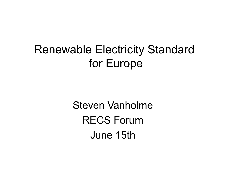# Renewable Electricity Standard for Europe

Steven Vanholme RECS Forum June 15th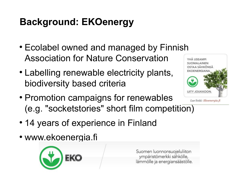# **Background: EKOenergy**

- Ecolabel owned and managed by Finnish Association for Nature Conservation YHÄ USEAMPI
- Labelling renewable electricity plants, biodiversity based criteria
- Promotion campaigns for renewables (e.g. "socketstories" short film competition)



Lue lisää: Ekoenergia.fi

- 14 years of experience in Finland
- www.ekoenergia.fi



Suomen luonnonsuojeluliiton ympäristömerkki sähkölle, lämmölle ja energiansäästölle.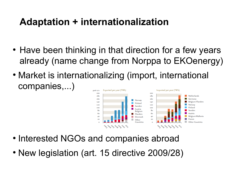# **Adaptation + internationalization**

- Have been thinking in that direction for a few years already (name change from Norppa to EKOenergy)
- Market is internationalizing (import, international companies,...) Exported per year (TWh) Imported per year (TWh) oraph 11/12



- Interested NGOs and companies abroad
- New legislation (art. 15 directive 2009/28)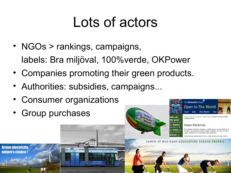# Lots of actors

- NGOs > rankings, campaigns, labels: Bra miljöval, 100%verde, OKPower
- Companies promoting their green products.
- Authorities: subsidies, campaigns...
- Consumer organizations
- Group purchases

**Green electricity** nature's choice!





Home / Open to the World / Public Issues / Environment and the created world

#### **Green Electricity**

From boiling a kettle to charging a mobile phone, we all contribute to the UK's unsustainable levels of carbon emission. One way to reduce carbon emissions is to purchase 'green electricity'

Energy enables each of us to make a positive choice. Gro

SAMEN OP WEG NAAR GOEDKOPERE GROENE ENERGIE

**vays** you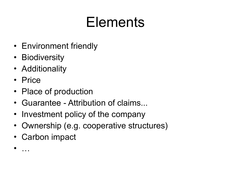# Elements

- Environment friendly
- Biodiversity
- Additionality
- Price

• …

- Place of production
- Guarantee Attribution of claims...
- Investment policy of the company
- Ownership (e.g. cooperative structures)
- Carbon impact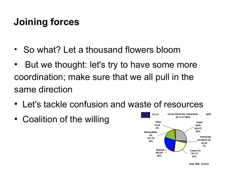## **Joining forces**

- So what? Let a thousand flowers bloom
- But we thought: let's try to have some more coordination; make sure that we all pull in the same direction
- Let's tackle confusion and waste of resources
- Coalition of the willing

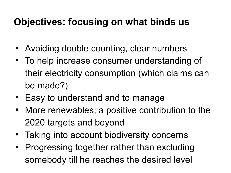## **Objectives: focusing on what binds us**

- Avoiding double counting, clear numbers
- To help increase consumer understanding of their electricity consumption (which claims can be made?)
- Easy to understand and to manage
- More renewables; a positive contribution to the 2020 targets and beyond
- Taking into account biodiversity concerns
- Progressing together rather than excluding somebody till he reaches the desired level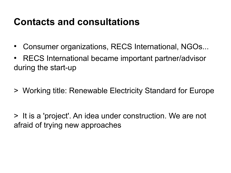#### **Contacts and consultations**

- Consumer organizations, RECS International, NGOs...
- RECS International became important partner/advisor during the start-up
- > Working title: Renewable Electricity Standard for Europe

> It is a 'project'. An idea under construction. We are not afraid of trying new approaches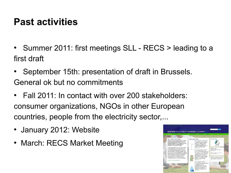#### **Past activities**

- Summer 2011: first meetings SLL RECS > leading to a first draft
- September 15th: presentation of draft in Brussels. General ok but no commitments
- Fall 2011: In contact with over 200 stakeholders: consumer organizations, NGOs in other European countries, people from the electricity sector,...
- January 2012: Website
- March: RECS Market Meeting

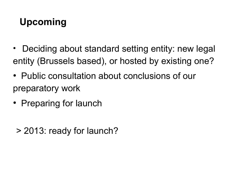# **Upcoming**

- Deciding about standard setting entity: new legal entity (Brussels based), or hosted by existing one?
- Public consultation about conclusions of our preparatory work
- Preparing for launch
	- > 2013: ready for launch?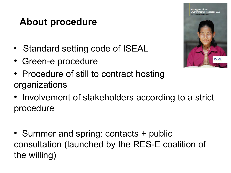#### **About procedure**

- Standard setting code of ISEAL
- Green-e procedure
- Procedure of still to contract hosting organizations
- Involvement of stakeholders according to a strict procedure
- Summer and spring: contacts + public consultation (launched by the RES-E coalition of the willing)

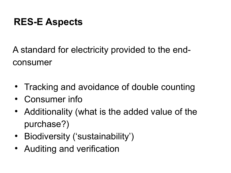## **RES-E Aspects**

A standard for electricity provided to the endconsumer

- Tracking and avoidance of double counting
- Consumer info
- Additionality (what is the added value of the purchase?)
- Biodiversity ('sustainability')
- Auditing and verification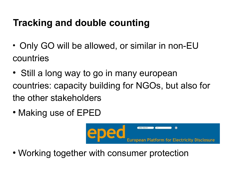# **Tracking and double counting**

- Only GO will be allowed, or similar in non-EU countries
- Still a long way to go in many european countries: capacity building for NGOs, but also for the other stakeholders
- Making use of EPED



• Working together with consumer protection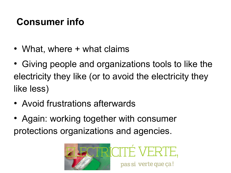## **Consumer info**

- What, where + what claims
- Giving people and organizations tools to like the electricity they like (or to avoid the electricity they like less)
- Avoid frustrations afterwards
- Again: working together with consumer protections organizations and agencies.

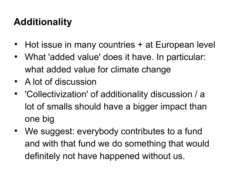# **Additionality**

- Hot issue in many countries + at European level
- What 'added value' does it have. In particular: what added value for climate change
- A lot of discussion
- 'Collectivization' of additionality discussion / a lot of smalls should have a bigger impact than one big
- We suggest: everybody contributes to a fund and with that fund we do something that would definitely not have happened without us.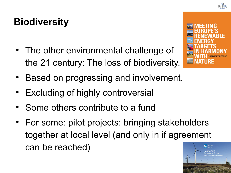# **Biodiversity**

- The other environmental challenge of the 21 century: The loss of biodiversity.
- Based on progressing and involvement.
- **Excluding of highly controversial**
- Some others contribute to a fund
- For some: pilot projects: bringing stakeholders together at local level (and only in if agreement can be reached)



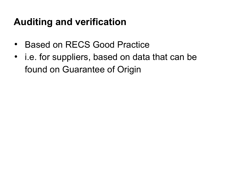## **Auditing and verification**

- **Based on RECS Good Practice**
- i.e. for suppliers, based on data that can be found on Guarantee of Origin